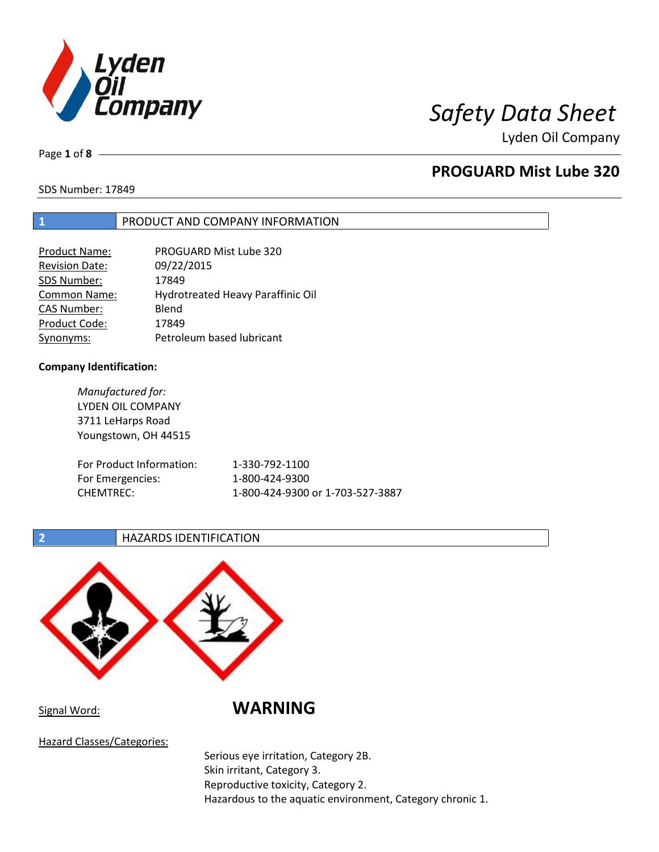

Page **1** of **8**

## **PROGUARD Mist Lube 320**

SDS Number: 17849

## **1** PRODUCT AND COMPANY INFORMATION

| <b>Product Name:</b>  | PROGUARD Mist Lube 320            |
|-----------------------|-----------------------------------|
| <b>Revision Date:</b> | 09/22/2015                        |
| SDS Number:           | 17849                             |
| Common Name:          | Hydrotreated Heavy Paraffinic Oil |
| <b>CAS Number:</b>    | Blend                             |
| Product Code:         | 17849                             |
| Synonyms:             | Petroleum based lubricant         |

### **Company Identification:**

*Manufactured for:* LYDEN OIL COMPANY 3711 LeHarps Road Youngstown, OH 44515 For Product Information: 1-330-792-1100 For Emergencies: 1-800-424-9300 CHEMTREC: 1-800-424-9300 or 1-703-527-3887

**2 HAZARDS IDENTIFICATION** 



Signal Word: **WARNING**

Hazard Classes/Categories:

Serious eye irritation, Category 2B. Skin irritant, Category 3. Reproductive toxicity, Category 2. Hazardous to the aquatic environment, Category chronic 1.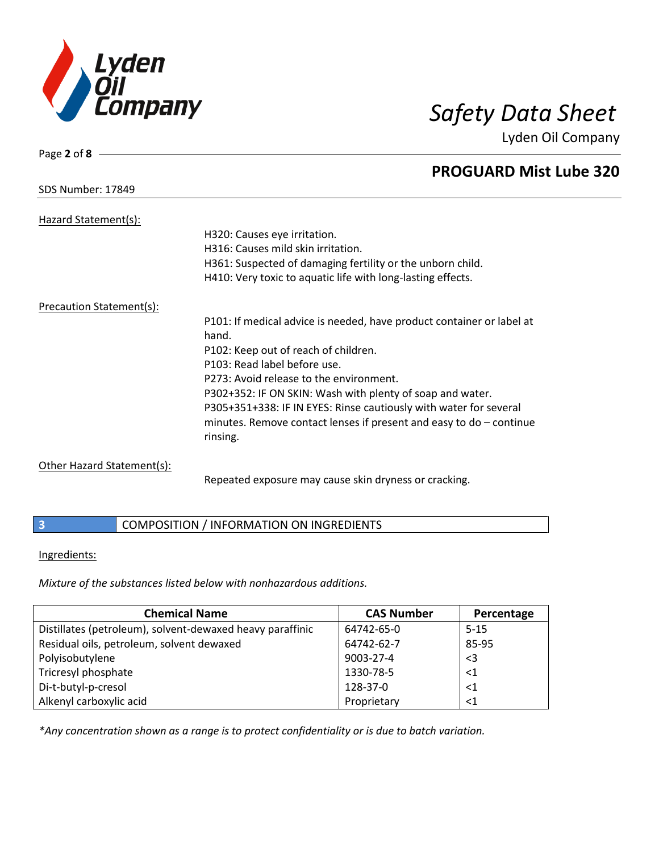

## **PROGUARD Mist Lube 320**

SDS Number: 17849

Page **2** of **8**

| Hazard Statement(s):            |                                                                       |
|---------------------------------|-----------------------------------------------------------------------|
|                                 | H320: Causes eye irritation.                                          |
|                                 | H316: Causes mild skin irritation.                                    |
|                                 | H361: Suspected of damaging fertility or the unborn child.            |
|                                 | H410: Very toxic to aquatic life with long-lasting effects.           |
| <b>Precaution Statement(s):</b> |                                                                       |
|                                 | P101: If medical advice is needed, have product container or label at |
|                                 | hand.                                                                 |
|                                 | P102: Keep out of reach of children.                                  |
|                                 | P103: Read label before use.                                          |
|                                 | P273: Avoid release to the environment.                               |
|                                 | P302+352: IF ON SKIN: Wash with plenty of soap and water.             |
|                                 | P305+351+338: IF IN EYES: Rinse cautiously with water for several     |
|                                 | minutes. Remove contact lenses if present and easy to $do$ – continue |
|                                 | rinsing.                                                              |
|                                 |                                                                       |
| Other Hazard Statement(s):      |                                                                       |

Repeated exposure may cause skin dryness or cracking.

**3 COMPOSITION** / INFORMATION ON INGREDIENTS

## Ingredients:

*Mixture of the substances listed below with nonhazardous additions.*

| <b>Chemical Name</b>                                      | <b>CAS Number</b> | Percentage |
|-----------------------------------------------------------|-------------------|------------|
| Distillates (petroleum), solvent-dewaxed heavy paraffinic | 64742-65-0        | $5 - 15$   |
| Residual oils, petroleum, solvent dewaxed                 | 64742-62-7        | 85-95      |
| Polyisobutylene                                           | 9003-27-4         | $3$        |
| Tricresyl phosphate                                       | 1330-78-5         | $<$ 1      |
| Di-t-butyl-p-cresol                                       | 128-37-0          | $<$ 1      |
| Alkenyl carboxylic acid                                   | Proprietary       | $<$ 1      |

*\*Any concentration shown as a range is to protect confidentiality or is due to batch variation.*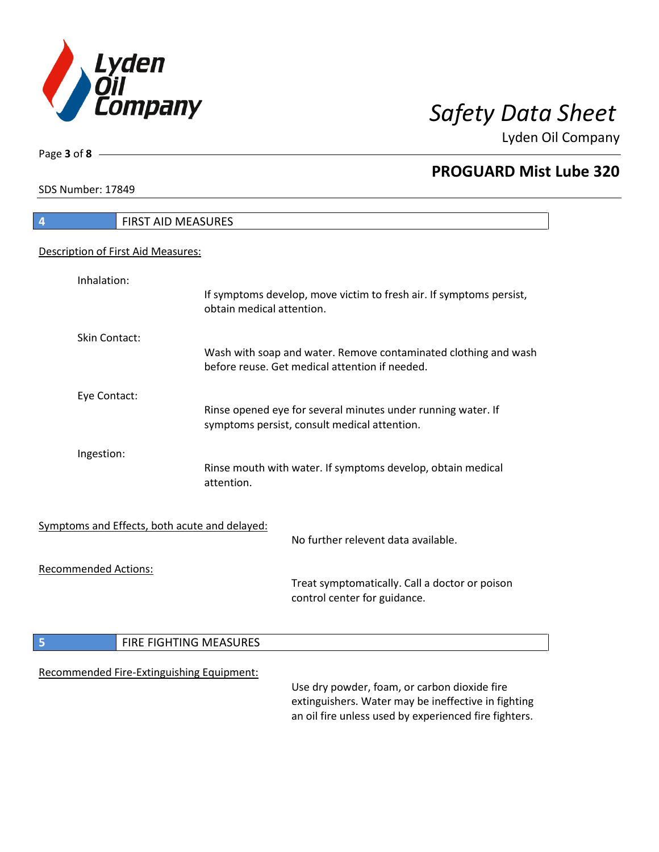

**PROGUARD Mist Lube 320**

Lyden Oil Company

SDS Number: 17849

Page **3** of **8**

# **4** FIRST AID MEASURES Description of First Aid Measures: Inhalation: If symptoms develop, move victim to fresh air. If symptoms persist, obtain medical attention. Skin Contact: Wash with soap and water. Remove contaminated clothing and wash before reuse. Get medical attention if needed. Eye Contact: Rinse opened eye for several minutes under running water. If symptoms persist, consult medical attention. Ingestion: Rinse mouth with water. If symptoms develop, obtain medical attention. Symptoms and Effects, both acute and delayed: No further relevent data available. Recommended Actions: Treat symptomatically. Call a doctor or poison control center for guidance. **5 FIRE FIGHTING MEASURES** Recommended Fire-Extinguishing Equipment: Use dry powder, foam, or carbon dioxide fire extinguishers. Water may be ineffective in fighting

an oil fire unless used by experienced fire fighters.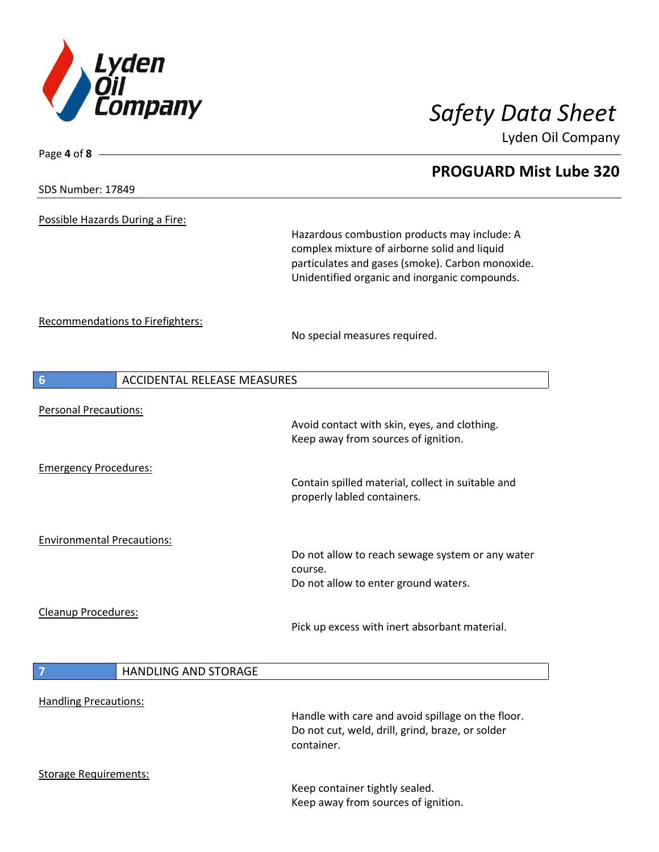

Page **4** of **8**

Lyden Oil Company

# **PROGUARD Mist Lube 320** SDS Number: 17849 Possible Hazards During a Fire: Hazardous combustion products may include: A complex mixture of airborne solid and liquid particulates and gases (smoke). Carbon monoxide. Unidentified organic and inorganic compounds. Recommendations to Firefighters: No special measures required. **6** ACCIDENTAL RELEASE MEASURES Personal Precautions: Avoid contact with skin, eyes, and clothing. Keep away from sources of ignition. Emergency Procedures: Contain spilled material, collect in suitable and properly labled containers. Environmental Precautions: Do not allow to reach sewage system or any water course. Do not allow to enter ground waters. Cleanup Procedures: Pick up excess with inert absorbant material. **7** HANDLING AND STORAGE Handling Precautions:

Handle with care and avoid spillage on the floor. Do not cut, weld, drill, grind, braze, or solder container.

Storage Requirements:

Keep container tightly sealed. Keep away from sources of ignition.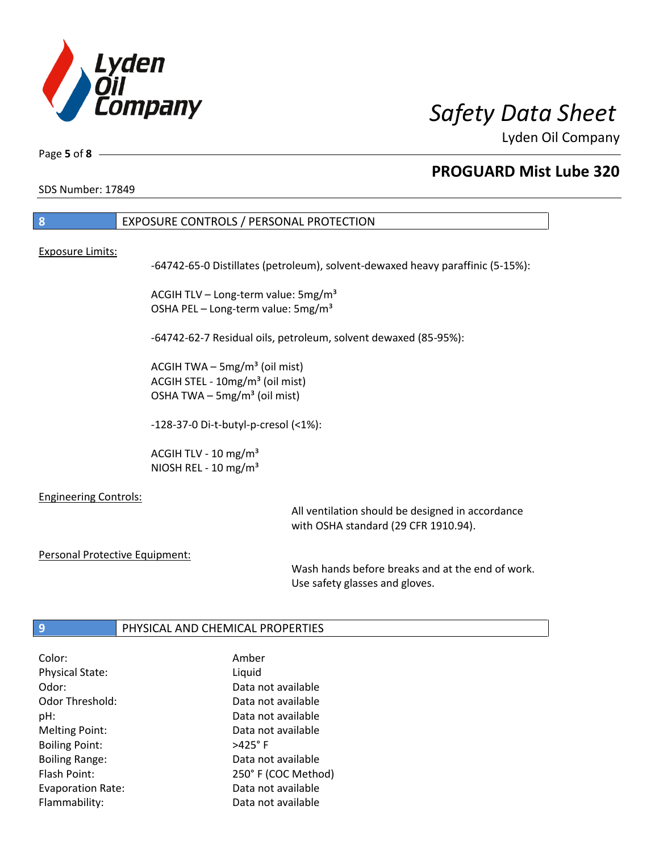

Page **5** of **8**

## **PROGUARD Mist Lube 320**

SDS Number: 17849

| 8                       | EXPOSURE CONTROLS / PERSONAL PROTECTION                                                 |
|-------------------------|-----------------------------------------------------------------------------------------|
| <b>Exposure Limits:</b> | -64742-65-0 Distillates (petroleum), solvent-dewaxed heavy paraffinic (5-15%):          |
|                         | ACGIH TLV - Long-term value: $5mg/m3$<br>OSHA PEL - Long-term value: 5mg/m <sup>3</sup> |

-64742-62-7 Residual oils, petroleum, solvent dewaxed (85-95%):

ACGIH TWA  $-$  5mg/m<sup>3</sup> (oil mist) ACGIH STEL - 10mg/m<sup>3</sup> (oil mist) OSHA TWA – 5mg/m<sup>3</sup> (oil mist)

-128-37-0 Di-t-butyl-p-cresol (<1%):

ACGIH TLV - 10 mg/m³ NIOSH REL - 10 mg/m³

Engineering Controls:

All ventilation should be designed in accordance with OSHA standard (29 CFR 1910.94).

Personal Protective Equipment:

Wash hands before breaks and at the end of work. Use safety glasses and gloves.

### **9** PHYSICAL AND CHEMICAL PROPERTIES

Color: Amber Physical State: Liquid Odor: Data not available Odor Threshold: Data not available pH: Data not available Melting Point: Data not available Boiling Point:  $>425^{\circ}$  F Boiling Range: The Communication of a Data not available Flash Point: 250° F (COC Method) Evaporation Rate: Data not available Flammability: Data not available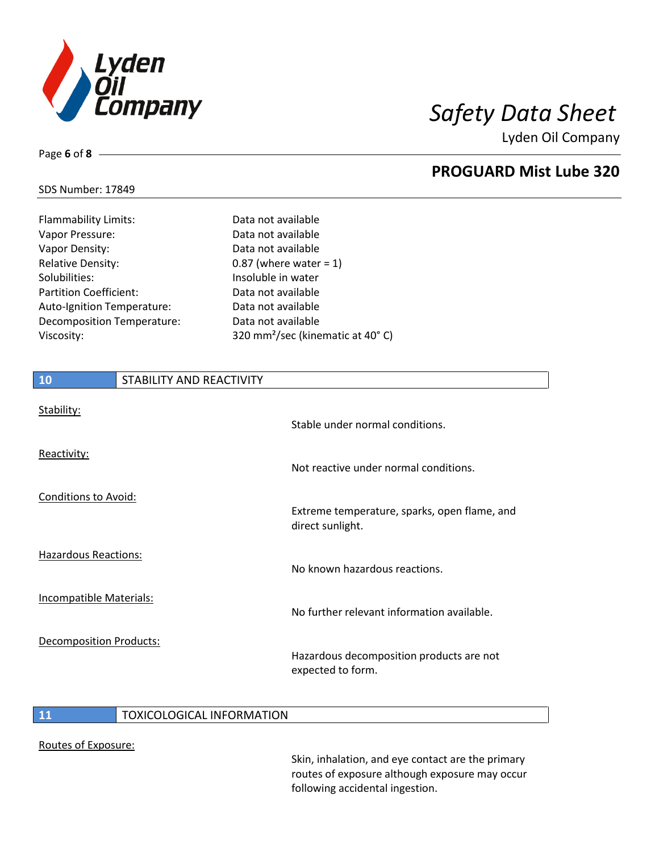

**PROGUARD Mist Lube 320**

Lyden Oil Company

٦

## SDS Number: 17849

Page **6** of **8**

| <b>Flammability Limits:</b>   | Data not available                           |
|-------------------------------|----------------------------------------------|
| Vapor Pressure:               | Data not available                           |
| Vapor Density:                | Data not available                           |
| <b>Relative Density:</b>      | $0.87$ (where water = 1)                     |
| Solubilities:                 | Insoluble in water                           |
| <b>Partition Coefficient:</b> | Data not available                           |
| Auto-Ignition Temperature:    | Data not available                           |
| Decomposition Temperature:    | Data not available                           |
| Viscosity:                    | 320 mm <sup>2</sup> /sec (kinematic at 40°C) |
|                               |                                              |

| 10                             | STABILITY AND REACTIVITY |                                                                  |
|--------------------------------|--------------------------|------------------------------------------------------------------|
| Stability:                     |                          | Stable under normal conditions.                                  |
| Reactivity:                    |                          | Not reactive under normal conditions.                            |
| <b>Conditions to Avoid:</b>    |                          | Extreme temperature, sparks, open flame, and<br>direct sunlight. |
| <b>Hazardous Reactions:</b>    |                          | No known hazardous reactions.                                    |
| <b>Incompatible Materials:</b> |                          | No further relevant information available.                       |
| <b>Decomposition Products:</b> |                          | Hazardous decomposition products are not<br>expected to form.    |

## **11 TOXICOLOGICAL INFORMATION**

## Routes of Exposure:

Skin, inhalation, and eye contact are the primary routes of exposure although exposure may occur following accidental ingestion.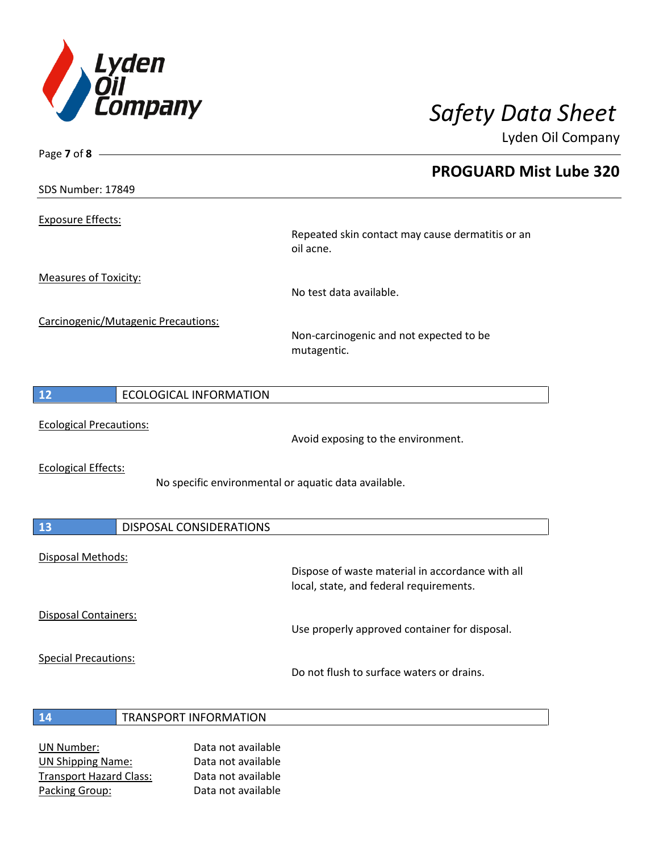

| Page 7 of 8 ————————————————————            |                                                                                             |
|---------------------------------------------|---------------------------------------------------------------------------------------------|
| SDS Number: 17849                           | <b>PROGUARD Mist Lube 320</b>                                                               |
| <b>Exposure Effects:</b>                    | Repeated skin contact may cause dermatitis or an<br>oil acne.                               |
| <b>Measures of Toxicity:</b>                | No test data available.                                                                     |
| Carcinogenic/Mutagenic Precautions:         | Non-carcinogenic and not expected to be<br>mutagentic.                                      |
| 12<br><b>ECOLOGICAL INFORMATION</b>         |                                                                                             |
| <b>Ecological Precautions:</b>              | Avoid exposing to the environment.                                                          |
| <b>Ecological Effects:</b>                  | No specific environmental or aquatic data available.                                        |
| <b>13</b><br><b>DISPOSAL CONSIDERATIONS</b> |                                                                                             |
| Disposal Methods:                           | Dispose of waste material in accordance with all<br>local, state, and federal requirements. |
| <b>Disposal Containers:</b>                 | Use properly approved container for disposal.                                               |
| <b>Special Precautions:</b>                 | Do not flush to surface waters or drains.                                                   |
| <b>14</b><br><b>TRANSPORT INFORMATION</b>   |                                                                                             |

UN Number: Data not available UN Shipping Name: Data not available Transport Hazard Class: Data not available Packing Group: Data not available